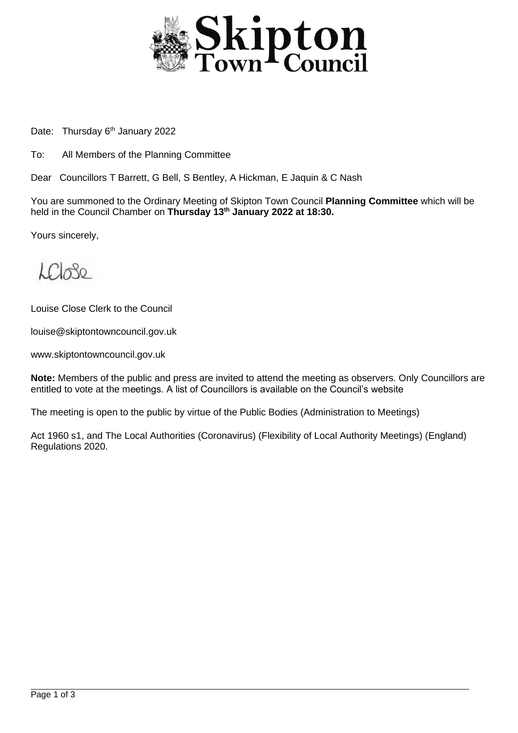

Date: Thursday 6<sup>th</sup> January 2022

To: All Members of the Planning Committee

Dear Councillors T Barrett, G Bell, S Bentley, A Hickman, E Jaquin & C Nash

You are summoned to the Ordinary Meeting of Skipton Town Council **Planning Committee** which will be held in the Council Chamber on **Thursday 13th January 2022 at 18:30.**

Yours sincerely,

 $\mathcal{L}\mathcal{C}$ 

Louise Close Clerk to the Council

louise@skiptontowncouncil.gov.uk

www.skiptontowncouncil.gov.uk

**Note:** Members of the public and press are invited to attend the meeting as observers. Only Councillors are entitled to vote at the meetings. A list of Councillors is available on the Council's website

The meeting is open to the public by virtue of the Public Bodies (Administration to Meetings)

Act 1960 s1, and The Local Authorities (Coronavirus) (Flexibility of Local Authority Meetings) (England) Regulations 2020.

j.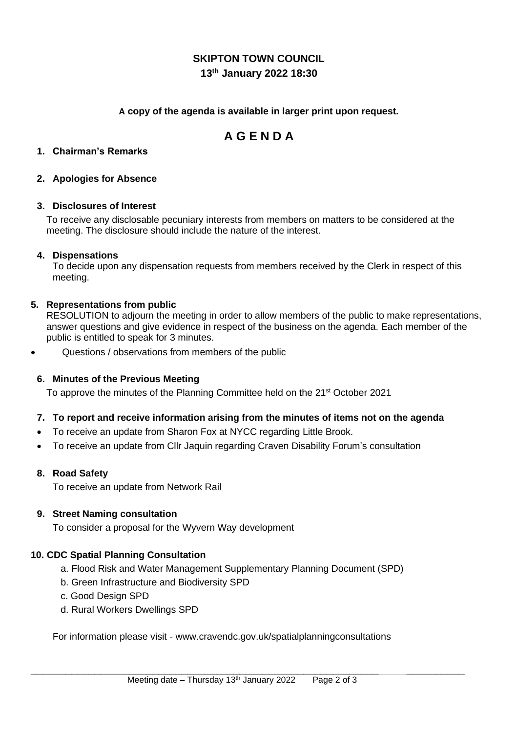## **SKIPTON TOWN COUNCIL 13th January 2022 18:30**

#### **A copy of the agenda is available in larger print upon request.**

# **A G E N D A**

#### **1. Chairman's Remarks**

#### **2. Apologies for Absence**

#### **3. Disclosures of Interest**

To receive any disclosable pecuniary interests from members on matters to be considered at the meeting. The disclosure should include the nature of the interest.

#### **4. Dispensations**

To decide upon any dispensation requests from members received by the Clerk in respect of this meeting.

#### **5. Representations from public**

RESOLUTION to adjourn the meeting in order to allow members of the public to make representations, answer questions and give evidence in respect of the business on the agenda. Each member of the public is entitled to speak for 3 minutes.

• Questions / observations from members of the public

#### **6. Minutes of the Previous Meeting**

To approve the minutes of the Planning Committee held on the 21<sup>st</sup> October 2021

#### **7. To report and receive information arising from the minutes of items not on the agenda**

- To receive an update from Sharon Fox at NYCC regarding Little Brook.
- To receive an update from Cllr Jaquin regarding Craven Disability Forum's consultation

#### **8. Road Safety**

To receive an update from Network Rail

#### **9. Street Naming consultation**

To consider a proposal for the Wyvern Way development

#### **10. CDC Spatial Planning Consultation**

- a. Flood Risk and Water Management Supplementary Planning Document (SPD)
- b. Green Infrastructure and Biodiversity SPD
- c. Good Design SPD
- d. Rural Workers Dwellings SPD

For information please visit - www.cravendc.gov.uk/spatialplanningconsultations

\_\_\_\_\_\_\_\_\_\_\_\_\_\_\_\_\_\_\_\_\_\_\_\_\_\_\_\_\_\_\_\_\_\_\_\_\_\_\_\_\_\_\_\_\_\_\_\_\_\_\_\_\_\_\_\_\_\_\_\_ \_\_\_\_\_\_\_\_\_\_